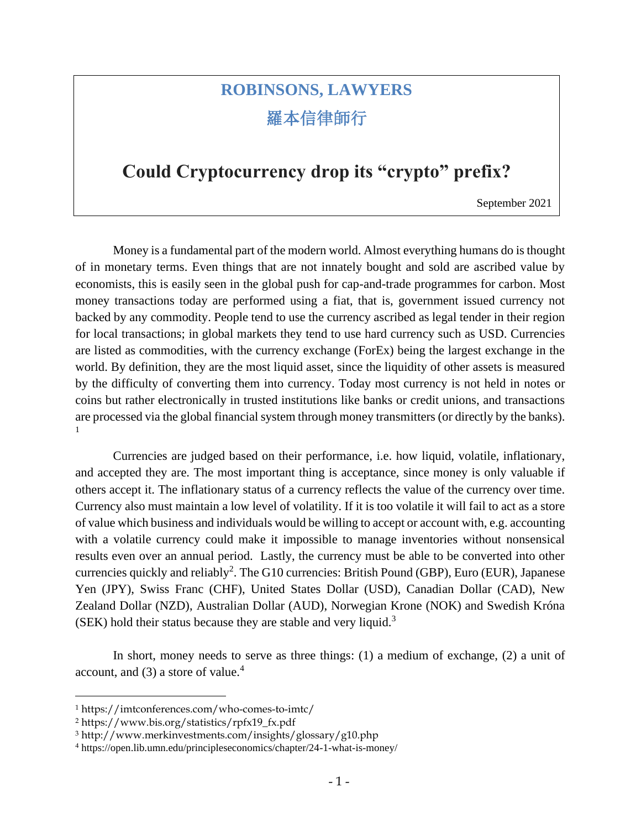# **ROBINSONS, LAWYERS** 羅本信律師行

### **Could Cryptocurrency drop its "crypto" prefix?**

September 2021

Money is a fundamental part of the modern world. Almost everything humans do is thought of in monetary terms. Even things that are not innately bought and sold are ascribed value by economists, this is easily seen in the global push for cap-and-trade programmes for carbon. Most money transactions today are performed using a fiat, that is, government issued currency not backed by any commodity. People tend to use the currency ascribed as legal tender in their region for local transactions; in global markets they tend to use hard currency such as USD. Currencies are listed as commodities, with the currency exchange (ForEx) being the largest exchange in the world. By definition, they are the most liquid asset, since the liquidity of other assets is measured by the difficulty of converting them into currency. Today most currency is not held in notes or coins but rather electronically in trusted institutions like banks or credit unions, and transactions are processed via the global financial system through money transmitters (or directly by the banks). 1

Currencies are judged based on their performance, i.e. how liquid, volatile, inflationary, and accepted they are. The most important thing is acceptance, since money is only valuable if others accept it. The inflationary status of a currency reflects the value of the currency over time. Currency also must maintain a low level of volatility. If it is too volatile it will fail to act as a store of value which business and individuals would be willing to accept or account with, e.g. accounting with a volatile currency could make it impossible to manage inventories without nonsensical results even over an annual period. Lastly, the currency must be able to be converted into other currencies quickly and reliably<sup>2</sup>. The G10 currencies: British Pound (GBP), Euro (EUR), Japanese Yen (JPY), Swiss Franc (CHF), United States Dollar (USD), Canadian Dollar (CAD), New Zealand Dollar (NZD), Australian Dollar (AUD), Norwegian Krone (NOK) and Swedish Króna  $(SEK)$  hold their status because they are stable and very liquid.<sup>3</sup>

In short, money needs to serve as three things: (1) a medium of exchange, (2) a unit of account, and  $(3)$  a store of value.<sup>4</sup>

<sup>1</sup> https://imtconferences.com/who-comes-to-imtc/

<sup>2</sup> https://www.bis.org/statistics/rpfx19\_fx.pdf

<sup>3</sup> http://www.merkinvestments.com/insights/glossary/g10.php

<sup>4</sup> https://open.lib.umn.edu/principleseconomics/chapter/24-1-what-is-money/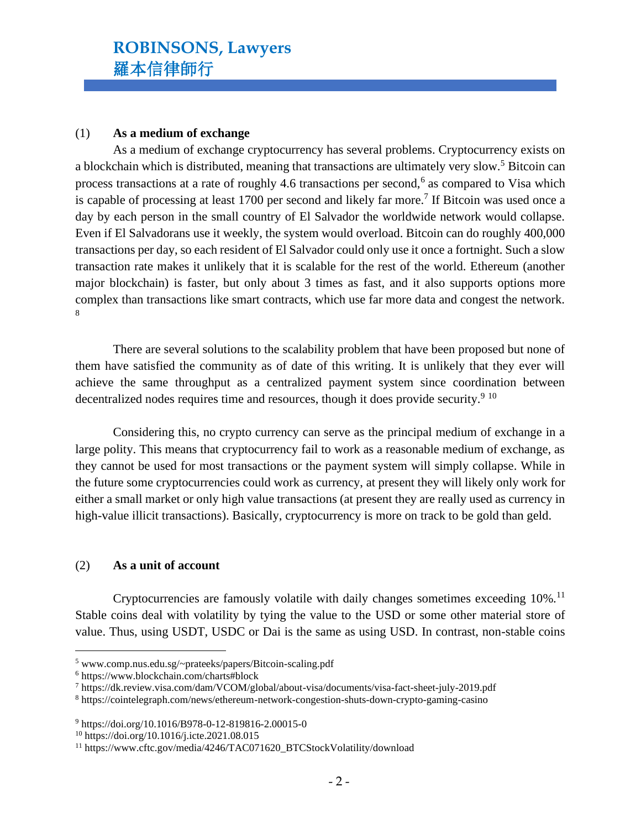#### (1) **As a medium of exchange**

As a medium of exchange cryptocurrency has several problems. Cryptocurrency exists on a blockchain which is distributed, meaning that transactions are ultimately very slow.<sup>5</sup> Bitcoin can process transactions at a rate of roughly 4.6 transactions per second,<sup>6</sup> as compared to Visa which is capable of processing at least 1700 per second and likely far more.<sup>7</sup> If Bitcoin was used once a day by each person in the small country of El Salvador the worldwide network would collapse. Even if El Salvadorans use it weekly, the system would overload. Bitcoin can do roughly 400,000 transactions per day, so each resident of El Salvador could only use it once a fortnight. Such a slow transaction rate makes it unlikely that it is scalable for the rest of the world. Ethereum (another major blockchain) is faster, but only about 3 times as fast, and it also supports options more complex than transactions like smart contracts, which use far more data and congest the network. 8

There are several solutions to the scalability problem that have been proposed but none of them have satisfied the community as of date of this writing. It is unlikely that they ever will achieve the same throughput as a centralized payment system since coordination between decentralized nodes requires time and resources, though it does provide security.<sup>9 10</sup>

Considering this, no crypto currency can serve as the principal medium of exchange in a large polity. This means that cryptocurrency fail to work as a reasonable medium of exchange, as they cannot be used for most transactions or the payment system will simply collapse. While in the future some cryptocurrencies could work as currency, at present they will likely only work for either a small market or only high value transactions (at present they are really used as currency in high-value illicit transactions). Basically, cryptocurrency is more on track to be gold than geld.

#### (2) **As a unit of account**

Cryptocurrencies are famously volatile with daily changes sometimes exceeding  $10\%$ .<sup>11</sup> Stable coins deal with volatility by tying the value to the USD or some other material store of value. Thus, using USDT, USDC or Dai is the same as using USD. In contrast, non-stable coins

<sup>5</sup> www.comp.nus.edu.sg/~prateeks/papers/Bitcoin-scaling.pdf

<sup>6</sup> https://www.blockchain.com/charts#block

<sup>7</sup> https://dk.review.visa.com/dam/VCOM/global/about-visa/documents/visa-fact-sheet-july-2019.pdf

<sup>8</sup> <https://cointelegraph.com/news/ethereum-network-congestion-shuts-down-crypto-gaming-casino>

<sup>9</sup> https://doi.org/10.1016/B978-0-12-819816-2.00015-0

<sup>10</sup> https://doi.org/10.1016/j.icte.2021.08.015

<sup>11</sup> https://www.cftc.gov/media/4246/TAC071620\_BTCStockVolatility/download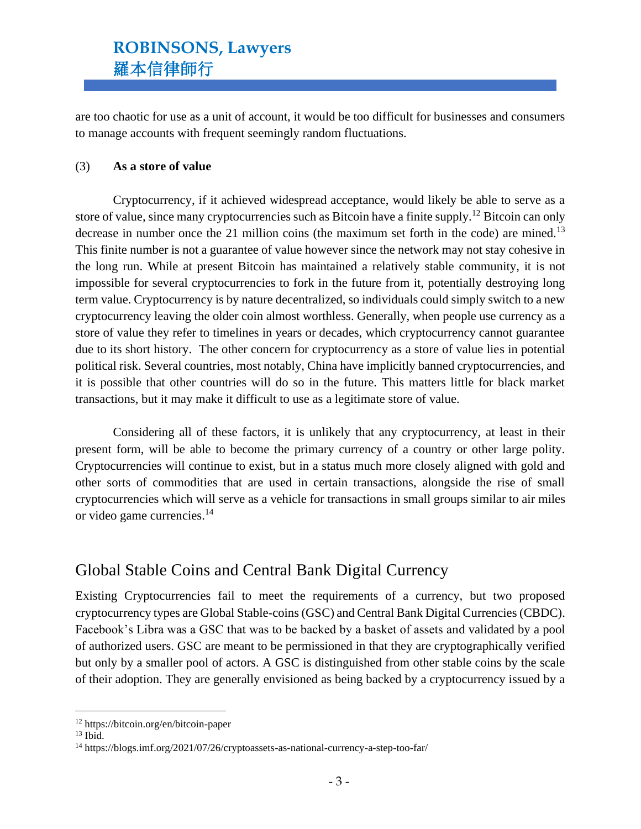## **ROBINSONS, Lawyers** 羅本信律師行

are too chaotic for use as a unit of account, it would be too difficult for businesses and consumers to manage accounts with frequent seemingly random fluctuations.

#### (3) **As a store of value**

Cryptocurrency, if it achieved widespread acceptance, would likely be able to serve as a store of value, since many cryptocurrencies such as Bitcoin have a finite supply.<sup>12</sup> Bitcoin can only decrease in number once the 21 million coins (the maximum set forth in the code) are mined.<sup>13</sup> This finite number is not a guarantee of value however since the network may not stay cohesive in the long run. While at present Bitcoin has maintained a relatively stable community, it is not impossible for several cryptocurrencies to fork in the future from it, potentially destroying long term value. Cryptocurrency is by nature decentralized, so individuals could simply switch to a new cryptocurrency leaving the older coin almost worthless. Generally, when people use currency as a store of value they refer to timelines in years or decades, which cryptocurrency cannot guarantee due to its short history. The other concern for cryptocurrency as a store of value lies in potential political risk. Several countries, most notably, China have implicitly banned cryptocurrencies, and it is possible that other countries will do so in the future. This matters little for black market transactions, but it may make it difficult to use as a legitimate store of value.

Considering all of these factors, it is unlikely that any cryptocurrency, at least in their present form, will be able to become the primary currency of a country or other large polity. Cryptocurrencies will continue to exist, but in a status much more closely aligned with gold and other sorts of commodities that are used in certain transactions, alongside the rise of small cryptocurrencies which will serve as a vehicle for transactions in small groups similar to air miles or video game currencies.<sup>14</sup>

### Global Stable Coins and Central Bank Digital Currency

Existing Cryptocurrencies fail to meet the requirements of a currency, but two proposed cryptocurrency types are Global Stable-coins (GSC) and Central Bank Digital Currencies (CBDC). Facebook's Libra was a GSC that was to be backed by a basket of assets and validated by a pool of authorized users. GSC are meant to be permissioned in that they are cryptographically verified but only by a smaller pool of actors. A GSC is distinguished from other stable coins by the scale of their adoption. They are generally envisioned as being backed by a cryptocurrency issued by a

<sup>12</sup> https://bitcoin.org/en/bitcoin-paper

 $13$  Ibid.

<sup>14</sup> https://blogs.imf.org/2021/07/26/cryptoassets-as-national-currency-a-step-too-far/